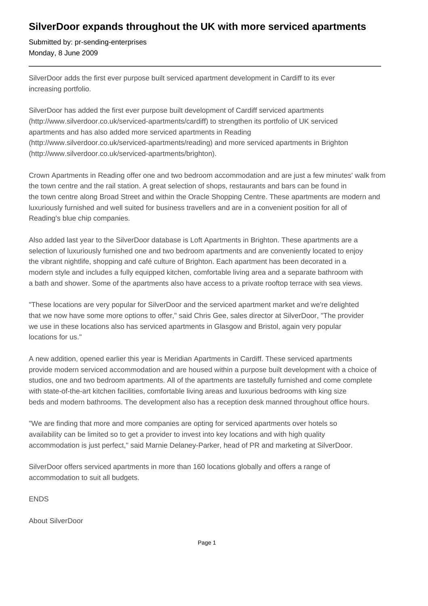## **SilverDoor expands throughout the UK with more serviced apartments**

Submitted by: pr-sending-enterprises Monday, 8 June 2009

SilverDoor adds the first ever purpose built serviced apartment development in Cardiff to its ever increasing portfolio.

SilverDoor has added the first ever purpose built development of Cardiff serviced apartments (http://www.silverdoor.co.uk/serviced-apartments/cardiff) to strengthen its portfolio of UK serviced apartments and has also added more serviced apartments in Reading (http://www.silverdoor.co.uk/serviced-apartments/reading) and more serviced apartments in Brighton (http://www.silverdoor.co.uk/serviced-apartments/brighton).

Crown Apartments in Reading offer one and two bedroom accommodation and are just a few minutes' walk from the town centre and the rail station. A great selection of shops, restaurants and bars can be found in the town centre along Broad Street and within the Oracle Shopping Centre. These apartments are modern and luxuriously furnished and well suited for business travellers and are in a convenient position for all of Reading's blue chip companies.

Also added last year to the SilverDoor database is Loft Apartments in Brighton. These apartments are a selection of luxuriously furnished one and two bedroom apartments and are conveniently located to enjoy the vibrant nightlife, shopping and café culture of Brighton. Each apartment has been decorated in a modern style and includes a fully equipped kitchen, comfortable living area and a separate bathroom with a bath and shower. Some of the apartments also have access to a private rooftop terrace with sea views.

"These locations are very popular for SilverDoor and the serviced apartment market and we're delighted that we now have some more options to offer," said Chris Gee, sales director at SilverDoor, "The provider we use in these locations also has serviced apartments in Glasgow and Bristol, again very popular locations for us."

A new addition, opened earlier this year is Meridian Apartments in Cardiff. These serviced apartments provide modern serviced accommodation and are housed within a purpose built development with a choice of studios, one and two bedroom apartments. All of the apartments are tastefully furnished and come complete with state-of-the-art kitchen facilities, comfortable living areas and luxurious bedrooms with king size beds and modern bathrooms. The development also has a reception desk manned throughout office hours.

"We are finding that more and more companies are opting for serviced apartments over hotels so availability can be limited so to get a provider to invest into key locations and with high quality accommodation is just perfect," said Marnie Delaney-Parker, head of PR and marketing at SilverDoor.

SilverDoor offers serviced apartments in more than 160 locations globally and offers a range of accommodation to suit all budgets.

ENDS

About SilverDoor